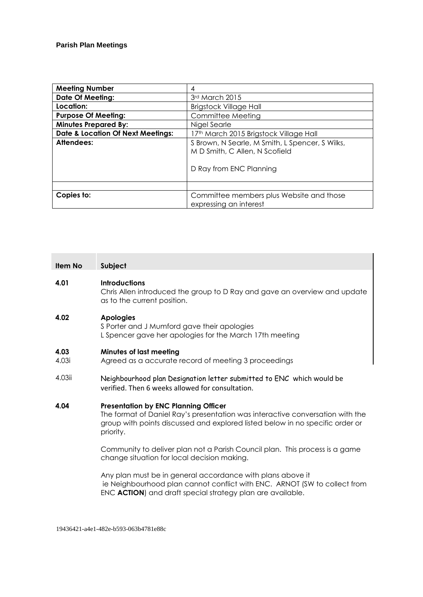| <b>Meeting Number</b>                        | 4                                                                                                            |
|----------------------------------------------|--------------------------------------------------------------------------------------------------------------|
| <b>Date Of Meeting:</b>                      | 3rd March 2015                                                                                               |
| Location:                                    | <b>Brigstock Village Hall</b>                                                                                |
| <b>Purpose Of Meeting:</b>                   | Committee Meeting                                                                                            |
| <b>Minutes Prepared By:</b>                  | Nigel Searle                                                                                                 |
| <b>Date &amp; Location Of Next Meetings:</b> | 17th March 2015 Brigstock Village Hall                                                                       |
| Attendees:                                   | S Brown, N Searle, M Smith, L Spencer, S Wilks,<br>M D Smith, C Allen, N Scofield<br>D Ray from ENC Planning |
| Copies to:                                   | Committee members plus Website and those                                                                     |
|                                              | expressing an interest                                                                                       |

| <b>Item No</b> | Subject                                                                                                                                                                                                                    |
|----------------|----------------------------------------------------------------------------------------------------------------------------------------------------------------------------------------------------------------------------|
| 4.01           | <b>Introductions</b><br>Chris Allen introduced the group to D Ray and gave an overview and update<br>as to the current position.                                                                                           |
| 4.02           | <b>Apologies</b><br>S Porter and J Mumford gave their apologies<br>L Spencer gave her apologies for the March 17th meeting                                                                                                 |
| 4.03<br>4.03i  | <b>Minutes of last meeting</b><br>Agreed as a accurate record of meeting 3 proceedings                                                                                                                                     |
| 4.03ii         | Neighbourhood plan Designation letter submitted to ENC which would be<br>verified. Then 6 weeks allowed for consultation.                                                                                                  |
| 4.04           | <b>Presentation by ENC Planning Officer</b><br>The format of Daniel Ray's presentation was interactive conversation with the<br>group with points discussed and explored listed below in no specific order or<br>priority. |
|                | Community to deliver plan not a Parish Council plan. This process is a game<br>change situation for local decision making.                                                                                                 |
|                | Any plan must be in general accordance with plans above it<br>ie Neighbourhood plan cannot conflict with ENC. ARNOT (SW to collect from<br>ENC ACTION) and draft special strategy plan are available.                      |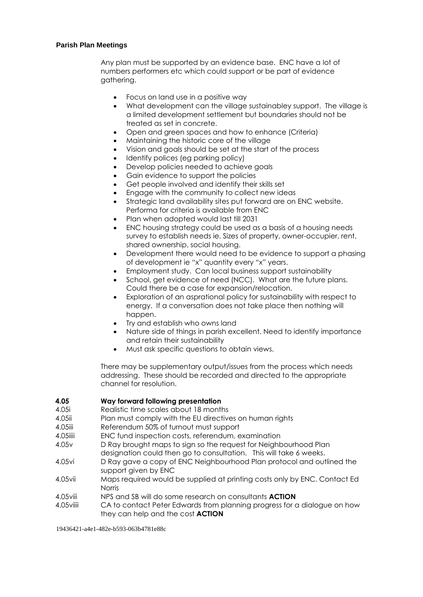#### **Parish Plan Meetings**

Any plan must be supported by an evidence base. ENC have a lot of numbers performers etc which could support or be part of evidence gathering.

- Focus on land use in a positive way
- What development can the village sustainabley support. The village is a limited development settlement but boundaries should not be treated as set in concrete.
- Open and green spaces and how to enhance (Criteria)
- Maintaining the historic core of the village
- Vision and goals should be set at the start of the process
- Identify polices (eg parking policy)
- Develop policies needed to achieve goals
- Gain evidence to support the policies
- Get people involved and identify their skills set
- Engage with the community to collect new ideas
- Strategic land availability sites put forward are on ENC website. Performa for criteria is available from ENC
- Plan when adopted would last till 2031
- ENC housing strategy could be used as a basis of a housing needs survey to establish needs ie. Sizes of property, owner-occupier, rent, shared ownership, social housing.
- Development there would need to be evidence to support a phasing of development ie "x" quantity every "x" years.
- Employment study. Can local business support sustainability
- School, get evidence of need (NCC). What are the future plans. Could there be a case for expansion/relocation.
- Exploration of an asprational policy for sustainability with respect to energy. If a conversation does not take place then nothing will happen.
- Try and establish who owns land
- Nature side of things in parish excellent. Need to identify importance and retain their sustainability
- Must ask specific questions to obtain views.

There may be supplementary output/issues from the process which needs addressing. These should be recorded and directed to the appropriate channel for resolution.

## **4.05 Way forward following presentation**

4.05i Realistic time scales about 18 months

- 4.05ii Plan must comply with the EU directives on human rights
- 4.05iii Referendum 50% of turnout must support
- 4.05iiii ENC fund inspection costs, referendum, examination
- 4.05v D Ray brought maps to sign so the request for Neighbourhood Plan designation could then go to consultation. This will take 6 weeks.
- 4.05vi D Ray gave a copy of ENC Neighbourhood Plan protocol and outlined the support given by ENC
- 4.05vii Maps required would be supplied at printing costs only by ENC. Contact Ed Norris
- 4.05viii NPS and SB will do some research on consultants **ACTION**
- 4.05viiii CA to contact Peter Edwards from planning progress for a dialogue on how they can help and the cost **ACTION**

19436421-a4e1-482e-b593-063b4781e88c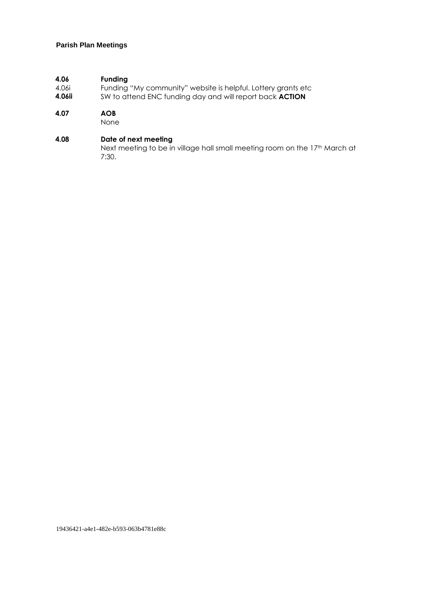## **Parish Plan Meetings**

## **4.06 Funding**

- 4.06i Funding "My community" website is helpful. Lottery grants etc
- **4.06ii** SW to attend ENC funding day and will report back **ACTION**

#### **4.07 AOB**

None

#### **4.08 Date of next meeting**

Next meeting to be in village hall small meeting room on the 17<sup>th</sup> March at 7:30.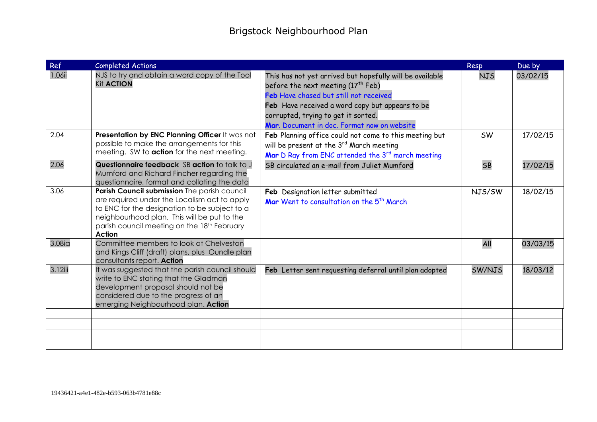| Ref     | <b>Completed Actions</b>                                                                                                                                                                                                                                     |                                                                                                                                                                                                                                                                                               | <b>Resp</b> | Due by   |
|---------|--------------------------------------------------------------------------------------------------------------------------------------------------------------------------------------------------------------------------------------------------------------|-----------------------------------------------------------------------------------------------------------------------------------------------------------------------------------------------------------------------------------------------------------------------------------------------|-------------|----------|
| 1.06ii  | NJS to try and obtain a word copy of the Tool<br><b>Kit ACTION</b>                                                                                                                                                                                           | This has not yet arrived but hopefully will be available<br>before the next meeting (17 <sup>th</sup> Feb)<br>Feb Have chased but still not received<br>Feb Have received a word copy but appears to be<br>corrupted, trying to get it sorted.<br>Mar. Document in doc. Format now on website | <b>NJS</b>  | 03/02/15 |
| 2.04    | Presentation by ENC Planning Officer It was not<br>possible to make the arrangements for this<br>meeting. SW to action for the next meeting.                                                                                                                 | Feb Planning office could not come to this meeting but<br>will be present at the 3 <sup>rd</sup> March meeting<br>Mar D Ray from ENC attended the 3rd march meeting                                                                                                                           | <b>SW</b>   | 17/02/15 |
| 2.06    | Questionnaire feedback SB action to talk to J<br>Mumford and Richard Fincher regarding the<br>questionnaire, format and collating the data                                                                                                                   | SB circulated an e-mail from Juliet Mumford                                                                                                                                                                                                                                                   | <b>SB</b>   | 17/02/15 |
| 3.06    | Parish Council submission The parish council<br>are required under the Localism act to apply<br>to ENC for the designation to be subject to a<br>neighbourhood plan. This will be put to the<br>parish council meeting on the 18th February<br><b>Action</b> | Feb Designation letter submitted<br>Mar Went to consultation on the 5 <sup>th</sup> March                                                                                                                                                                                                     | NJS/SW      | 18/02/15 |
| 3.08ia  | Committee members to look at Chelveston<br>and Kings Cliff (draft) plans, plus Oundle plan<br>consultants report. Action                                                                                                                                     |                                                                                                                                                                                                                                                                                               | All         | 03/03/15 |
| 3.12iii | It was suggested that the parish council should<br>write to ENC stating that the Gladman<br>development proposal should not be<br>considered due to the progress of an<br>emerging Neighbourhood plan. Action                                                | Feb Letter sent requesting deferral until plan adopted                                                                                                                                                                                                                                        | SW/NJS      | 18/03/12 |
|         |                                                                                                                                                                                                                                                              |                                                                                                                                                                                                                                                                                               |             |          |
|         |                                                                                                                                                                                                                                                              |                                                                                                                                                                                                                                                                                               |             |          |
|         |                                                                                                                                                                                                                                                              |                                                                                                                                                                                                                                                                                               |             |          |
|         |                                                                                                                                                                                                                                                              |                                                                                                                                                                                                                                                                                               |             |          |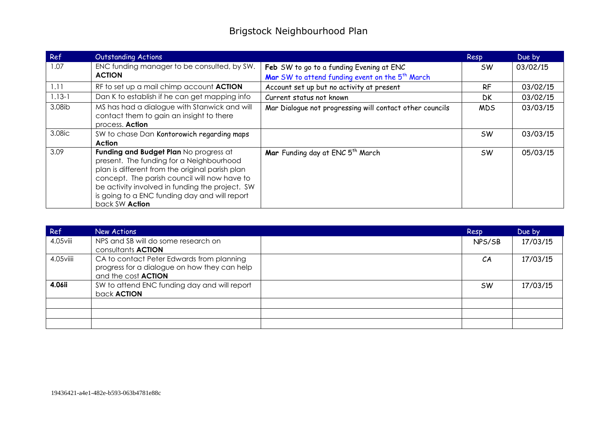| Ref        | <b>Outstanding Actions</b>                                                                                                                                                                                                                                                                                  |                                                             | Resp       | Due by   |
|------------|-------------------------------------------------------------------------------------------------------------------------------------------------------------------------------------------------------------------------------------------------------------------------------------------------------------|-------------------------------------------------------------|------------|----------|
| 1.07       | ENC funding manager to be consulted, by SW.                                                                                                                                                                                                                                                                 | Feb SW to go to a funding Evening at ENC                    | SW.        | 03/02/15 |
|            | <b>ACTION</b>                                                                                                                                                                                                                                                                                               | Mar SW to attend funding event on the 5 <sup>th</sup> March |            |          |
| 1.11       | RF to set up a mail chimp account ACTION                                                                                                                                                                                                                                                                    | Account set up but no activity at present                   | <b>RF</b>  | 03/02/15 |
| $1.13 - 1$ | Dan K to establish if he can get mapping info                                                                                                                                                                                                                                                               | Current status not known                                    | <b>DK</b>  | 03/02/15 |
| 3.08ib     | MS has had a dialogue with Stanwick and will<br>contact them to gain an insight to there<br>process. Action                                                                                                                                                                                                 | Mar Dialogue not progressing will contact other councils    | <b>MDS</b> | 03/03/15 |
| 3.08ic     | SW to chase Dan Kontorowich regarding maps<br>Action                                                                                                                                                                                                                                                        |                                                             | <b>SW</b>  | 03/03/15 |
| 3.09       | Funding and Budget Plan No progress at<br>present. The funding for a Neighbourhood<br>plan is different from the original parish plan<br>concept. The parish council will now have to<br>be activity involved in funding the project. SW<br>is going to a ENC funding day and will report<br>back SW Action | Mar Funding day at ENC 5 <sup>th</sup> March                | <b>SW</b>  | 05/03/15 |

| Ref         | New Actions                                                                                                             | Resp      | Due by   |
|-------------|-------------------------------------------------------------------------------------------------------------------------|-----------|----------|
| $4.05$ viii | NPS and SB will do some research on<br>consultants <b>ACTION</b>                                                        | NPS/SB    | 17/03/15 |
| 4.05viiii   | CA to contact Peter Edwards from planning<br>progress for a dialogue on how they can help<br>and the cost <b>ACTION</b> | CA        | 17/03/15 |
| 4.06ii      | SW to attend ENC funding day and will report<br>back <b>ACTION</b>                                                      | <b>SW</b> | 17/03/15 |
|             |                                                                                                                         |           |          |
|             |                                                                                                                         |           |          |